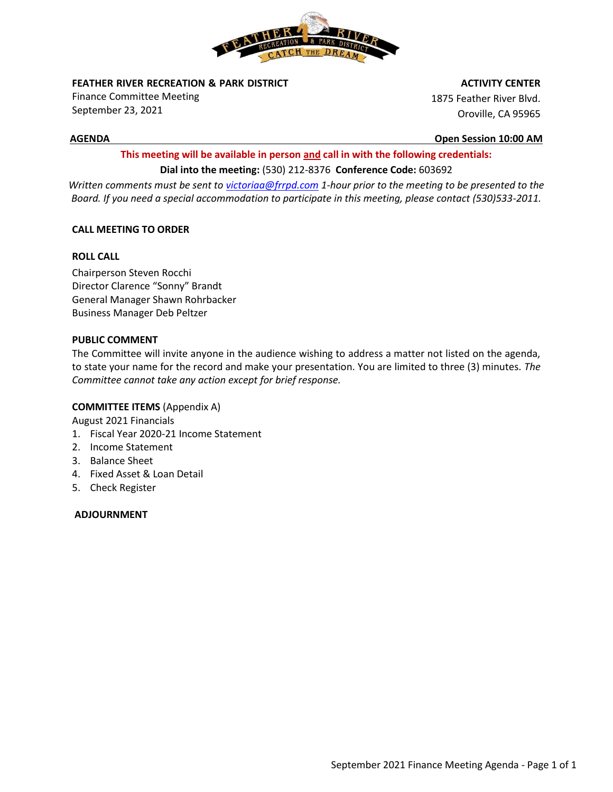

**FEATHER RIVER RECREATION & PARK DISTRICT** 

Finance Committee Meeting September 23, 2021

#### **ACTIVITY CENTER**

1875 Feather River Blvd. Oroville, CA 95965

**AGENDA Open Session 10:00 AM**

# **This meeting will be available in person and call in with the following credentials: Dial into the meeting:** (530) 212-8376 **Conference Code:** 603692

*Written comments must be sent t[o victoriaa@frrpd.com](mailto:victoriaa@frrpd.com) 1-hour prior to the meeting to be presented to the Board. If you need a special accommodation to participate in this meeting, please contact (530)533-2011.*

## **CALL MEETING TO ORDER**

### **ROLL CALL**

Chairperson Steven Rocchi Director Clarence "Sonny" Brandt General Manager Shawn Rohrbacker Business Manager Deb Peltzer

## **PUBLIC COMMENT**

The Committee will invite anyone in the audience wishing to address a matter not listed on the agenda, to state your name for the record and make your presentation. You are limited to three (3) minutes*. The Committee cannot take any action except for brief response.*

### **COMMITTEE ITEMS** (Appendix A)

August 2021 Financials

- 1. Fiscal Year 2020-21 Income Statement
- 2. Income Statement
- 3. Balance Sheet
- 4. Fixed Asset & Loan Detail
- 5. Check Register

### **ADJOURNMENT**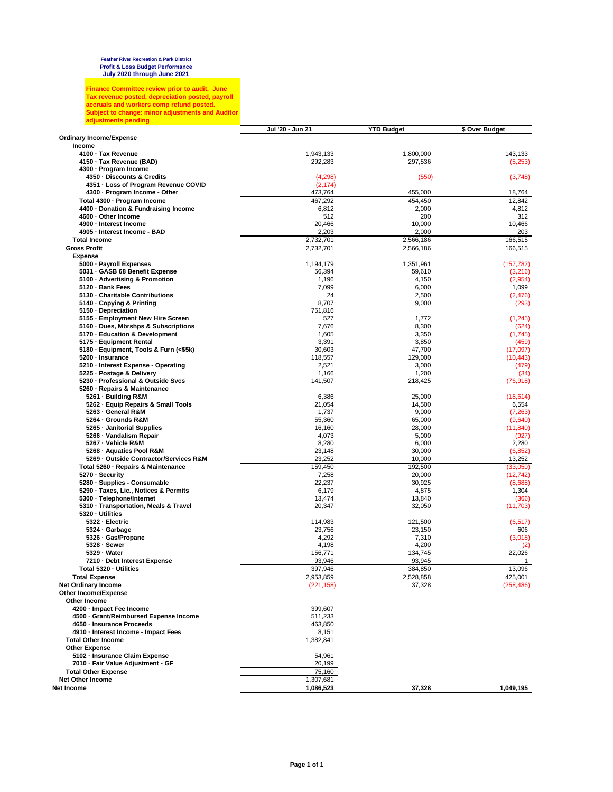Finance Committee review prior to audit. June<br>Tax revenue posted, depreciation posted, payroll<br>accruals and workers comp refund posted.<br>Subject to change: minor adjustments and Auditor<br>adjustments pending

|                                                                 | Jul '20 - Jun 21 | <b>YTD Budget</b> | \$ Over Budget |
|-----------------------------------------------------------------|------------------|-------------------|----------------|
| <b>Ordinary Income/Expense</b>                                  |                  |                   |                |
| Income                                                          |                  |                   |                |
| 4100 · Tax Revenue                                              | 1,943,133        | 1,800,000         | 143,133        |
| 4150 · Tax Revenue (BAD)<br>4300 - Program Income               | 292,283          | 297,536           | (5,253)        |
| 4350 - Discounts & Credits                                      | (4,298)          | (550)             | (3,748)        |
| 4351 - Loss of Program Revenue COVID                            | (2, 174)         |                   |                |
| 4300 - Program Income - Other                                   | 473,764          | 455,000           | 18,764         |
| Total 4300 · Program Income                                     | 467,292          | 454,450           | 12,842         |
| 4400 · Donation & Fundraising Income                            | 6,812            | 2,000             | 4,812          |
| 4600 · Other Income                                             | 512              | 200               | 312            |
| 4900 - Interest Income                                          | 20,466           | 10,000            | 10,466         |
| 4905 - Interest Income - BAD                                    | 2,203            | 2,000             | 203            |
| <b>Total Income</b>                                             | 2,732,701        | 2.566.186         | 166.515        |
| <b>Gross Profit</b>                                             | 2,732,701        | 2,566,186         | 166.515        |
| <b>Expense</b>                                                  |                  |                   |                |
| 5000 · Payroll Expenses                                         | 1,194,179        | 1,351,961         | (157, 782)     |
| 5031 - GASB 68 Benefit Expense                                  | 56,394           | 59,610            | (3,216)        |
| 5100 Advertising & Promotion                                    | 1,196            | 4,150             | (2,954)        |
| 5120 · Bank Fees                                                | 7,099            | 6,000             | 1,099          |
| 5130 Charitable Contributions                                   | 24               | 2,500             | (2, 476)       |
| 5140 - Copying & Printing                                       | 8,707            | 9,000             | (293)          |
| 5150 Depreciation                                               | 751,816          |                   |                |
| 5155 - Employment New Hire Screen                               | 527              | 1,772             | (1, 245)       |
| 5160 - Dues, Mbrshps & Subscriptions                            | 7,676            | 8,300             | (624)          |
| 5170 · Education & Development                                  | 1,605            | 3,350             | (1,745)        |
| 5175 - Equipment Rental                                         | 3,391            | 3,850             | (459)          |
| 5180 · Equipment, Tools & Furn (<\$5k)                          | 30,603           | 47,700            | (17,097)       |
| 5200 · Insurance                                                | 118,557          | 129,000           | (10, 443)      |
| 5210 - Interest Expense - Operating                             | 2,521            | 3,000             | (479)          |
| 5225 - Postage & Delivery<br>5230 - Professional & Outside Svcs | 1,166            | 1,200<br>218,425  | (34)           |
| 5260 - Repairs & Maintenance                                    | 141,507          |                   | (76, 918)      |
| 5261 - Building R&M                                             | 6,386            | 25,000            | (18, 614)      |
| 5262 - Equip Repairs & Small Tools                              | 21,054           | 14,500            | 6,554          |
| 5263 - General R&M                                              | 1,737            | 9,000             | (7,263)        |
| 5264 · Grounds R&M                                              | 55,360           | 65,000            | (9,640)        |
| 5265 - Janitorial Supplies                                      | 16,160           | 28,000            | (11, 840)      |
| 5266 - Vandalism Repair                                         | 4,073            | 5,000             | (927)          |
| 5267 - Vehicle R&M                                              | 8,280            | 6,000             | 2,280          |
| 5268 - Aquatics Pool R&M                                        | 23,148           | 30,000            | (6, 852)       |
| 5269 - Outside Contractor/Services R&M                          | 23,252           | 10,000            | 13,252         |
| Total 5260 - Repairs & Maintenance                              | 159,450          | 192,500           | (33,050)       |
| 5270 - Security                                                 | 7,258            | 20,000            | (12, 742)      |
| 5280 · Supplies - Consumable                                    | 22,237           | 30,925            | (8,688)        |
| 5290 · Taxes, Lic., Notices & Permits                           | 6,179            | 4,875             | 1,304          |
| 5300 - Telephone/Internet                                       | 13,474           | 13,840            | (366)          |
| 5310 · Transportation, Meals & Travel                           | 20,347           | 32,050            | (11,703)       |
| 5320 · Utilities                                                |                  |                   |                |
| 5322 - Electric                                                 | 114,983          | 121,500           | (6, 517)       |
| 5324 - Garbage<br>5326 - Gas/Propane                            | 23,756<br>4,292  | 23,150<br>7,310   | 606<br>(3,018) |
| 5328 - Sewer                                                    | 4,198            | 4,200             | (2)            |
| 5329 - Water                                                    | 156,771          | 134,745           | 22,026         |
| 7210 - Debt Interest Expense                                    | 93,946           | 93,945            | 1              |
| Total 5320 - Utilities                                          | 397,946          | 384,850           | 13,096         |
| Total Expense                                                   | 2,953,859        | 2,528,858         | 425,001        |
| <b>Net Ordinary Income</b>                                      | (221,158)        | 37,328            | (258,486)      |
| Other Income/Expense                                            |                  |                   |                |
| Other Income                                                    |                  |                   |                |
| 4200 · Impact Fee Income                                        | 399,607          |                   |                |
| 4500 - Grant/Reimbursed Expense Income                          | 511,233          |                   |                |
| 4650 · Insurance Proceeds                                       | 463,850          |                   |                |
| 4910 - Interest Income - Impact Fees                            | 8,151            |                   |                |
| <b>Total Other Income</b>                                       | 1,382,841        |                   |                |
| <b>Other Expense</b>                                            |                  |                   |                |
| 5102 - Insurance Claim Expense                                  | 54,961           |                   |                |
| 7010 - Fair Value Adjustment - GF                               | 20,199           |                   |                |
| <b>Total Other Expense</b>                                      | 75,160           |                   |                |
| Net Other Income                                                | 1,307,681        |                   |                |
| Net Income                                                      | 1,086,523        | 37,328            | 1,049,195      |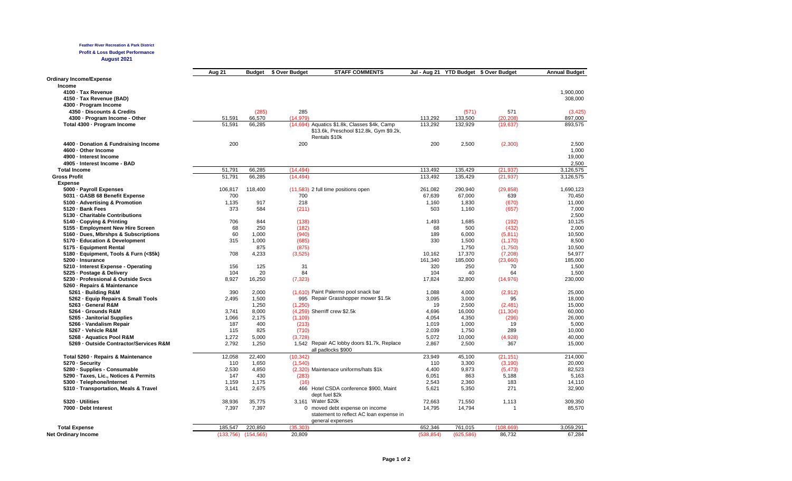#### **Feather River Recreation & Park District**

**Profit & Loss Budget Performance August 2021**

|                                        | Aug 21  | <b>Budget</b> | \$ Over Budget | <b>STAFF COMMENTS</b>                                                                                    |         |         | Jul - Aug 21 YTD Budget \$ Over Budget | <b>Annual Budget</b> |
|----------------------------------------|---------|---------------|----------------|----------------------------------------------------------------------------------------------------------|---------|---------|----------------------------------------|----------------------|
| <b>Ordinary Income/Expense</b>         |         |               |                |                                                                                                          |         |         |                                        |                      |
| Income                                 |         |               |                |                                                                                                          |         |         |                                        |                      |
| 4100 - Tax Revenue                     |         |               |                |                                                                                                          |         |         |                                        | 1,900,000            |
| 4150 - Tax Revenue (BAD)               |         |               |                |                                                                                                          |         |         |                                        | 308,000              |
| 4300 - Program Income                  |         |               |                |                                                                                                          |         |         |                                        |                      |
| 4350 - Discounts & Credits             |         | (285)         | 285            |                                                                                                          |         | (571)   | 571                                    | (3, 425)             |
| 4300 - Program Income - Other          | 51,591  | 66,570        | (14, 979)      |                                                                                                          | 113,292 | 133,500 | (20, 208)                              | 897,000              |
| Total 4300 - Program Income            | 51,591  | 66,285        |                | (14,694) Aquatics \$1.8k, Classes \$4k, Camp<br>\$13.6k, Preschool \$12.8k, Gym \$9.2k,<br>Rentals \$10k | 113,292 | 132,929 | (19, 637)                              | 893,575              |
| 4400 - Donation & Fundraising Income   | 200     |               | 200            |                                                                                                          | 200     | 2,500   | (2,300)                                | 2,500                |
| 4600 - Other Income                    |         |               |                |                                                                                                          |         |         |                                        | 1,000                |
| 4900 - Interest Income                 |         |               |                |                                                                                                          |         |         |                                        | 19,000               |
| 4905 - Interest Income - BAD           |         |               |                |                                                                                                          |         |         |                                        | 2,500                |
| <b>Total Income</b>                    | 51,791  | 66,285        | (14, 494)      |                                                                                                          | 113,492 | 135,429 | (21, 937)                              | 3,126,575            |
| <b>Gross Profit</b>                    | 51,791  | 66,285        | (14, 494)      |                                                                                                          | 113.492 | 135,429 | (21, 937)                              | 3,126,575            |
| <b>Expense</b>                         |         |               |                |                                                                                                          |         |         |                                        |                      |
| 5000 - Payroll Expenses                | 106,817 | 118,400       |                | (11,583) 2 full time positions open                                                                      | 261,082 | 290,940 | (29, 858)                              | 1,690,123            |
| 5031 GASB 68 Benefit Expense           | 700     |               | 700            |                                                                                                          | 67,639  | 67,000  | 639                                    | 70,450               |
| 5100 Advertising & Promotion           | 1.135   | 917           | 218            |                                                                                                          | 1.160   | 1.830   | (670)                                  | 11,000               |
| 5120 - Bank Fees                       | 373     | 584           | (211)          |                                                                                                          | 503     | 1,160   | (657)                                  | 7,000                |
| 5130 - Charitable Contributions        |         |               |                |                                                                                                          |         |         |                                        | 2,500                |
| 5140 Copying & Printing                | 706     | 844           | (138)          |                                                                                                          | 1,493   | 1,685   | (192)                                  | 10,125               |
| 5155 - Employment New Hire Screen      | 68      | 250           | (182)          |                                                                                                          | 68      | 500     | (432)                                  | 2,000                |
| 5160 Dues, Mbrshps & Subscriptions     | 60      | 1.000         | (940)          |                                                                                                          | 189     | 6,000   | (5, 811)                               | 10,500               |
| 5170 - Education & Development         | 315     | 1,000         | (685)          |                                                                                                          | 330     | 1,500   | (1, 170)                               | 8,500                |
| 5175 - Equipment Rental                |         | 875           | (875)          |                                                                                                          |         | 1,750   | (1,750)                                | 10,500               |
| 5180 · Equipment, Tools & Furn (<\$5k) | 708     | 4,233         | (3,525)        |                                                                                                          | 10,162  | 17,370  | (7, 208)                               | 54,977               |
| 5200 - Insurance                       |         |               |                |                                                                                                          | 161,340 | 185,000 | (23,660)                               | 185,000              |
| 5210 - Interest Expense - Operating    | 156     | 125           | 31             |                                                                                                          | 320     | 250     | 70                                     | 1,500                |
| 5225 - Postage & Delivery              | 104     | 20            | 84             |                                                                                                          | 104     | 40      | 64                                     | 1,500                |
| 5230 - Professional & Outside Svcs     | 8,927   | 16,250        | (7, 323)       |                                                                                                          | 17,824  | 32,800  | (14, 976)                              | 230,000              |
| 5260 - Repairs & Maintenance           |         |               |                |                                                                                                          |         |         |                                        |                      |
| 5261 - Building R&M                    | 390     | 2,000         |                | (1,610) Paint Palermo pool snack bar                                                                     | 1,088   | 4,000   | (2,912)                                | 25,000               |
| 5262 · Equip Repairs & Small Tools     | 2,495   | 1,500         |                | 995 Repair Grasshopper mower \$1.5k                                                                      | 3,095   | 3,000   | 95                                     | 18,000               |
| 5263 - General R&M                     |         | 1,250         | (1,250)        |                                                                                                          | 19      | 2,500   | (2,481)                                | 15,000               |
| 5264 - Grounds R&M                     | 3.741   | 8.000         |                | (4,259) Sherriff crew \$2.5k                                                                             | 4.696   | 16.000  | (11, 304)                              | 60,000               |
| 5265 Janitorial Supplies               | 1,066   | 2,175         | (1, 109)       |                                                                                                          | 4,054   | 4,350   | (296)                                  | 26,000               |
| 5266 - Vandalism Repair                | 187     | 400           | (213)          |                                                                                                          | 1,019   | 1,000   | 19                                     | 5,000                |
| 5267 - Vehicle R&M                     | 115     | 825           | (710)          |                                                                                                          | 2,039   | 1,750   | 289                                    | 10,000               |
| 5268 - Aquatics Pool R&M               | 1,272   | 5,000         | (3,728)        |                                                                                                          | 5,072   | 10,000  | (4,928)                                | 40,000               |
| 5269 - Outside Contractor/Services R&M | 2,792   | 1,250         |                | 1,542 Repair AC lobby doors \$1.7k, Replace<br>all padlocks COOO                                         | 2,867   | 2,500   | 367                                    | 15,000               |

| 5266 - Vandalism Repair               | 187        | 400        | (213)     |                                                                                               | 1,019      | 1,000      | 19         | 5,000     |
|---------------------------------------|------------|------------|-----------|-----------------------------------------------------------------------------------------------|------------|------------|------------|-----------|
| 5267 - Vehicle R&M                    | 115        | 825        | (710)     |                                                                                               | 2,039      | 1,750      | 289        | 10,000    |
| 5268 Aquatics Pool R&M                | 1.272      | 5,000      | (3,728)   |                                                                                               | 5,072      | 10,000     | (4,928)    | 40,000    |
| 5269 Outside Contractor/Services R&M  | 2,792      | 1,250      |           | 1,542 Repair AC lobby doors \$1.7k, Replace                                                   | 2,867      | 2,500      | 367        | 15,000    |
|                                       |            |            |           | all padlocks \$900                                                                            |            |            |            |           |
| Total 5260 - Repairs & Maintenance    | 12,058     | 22,400     | (10, 342) |                                                                                               | 23,949     | 45,100     | (21, 151)  | 214,000   |
| 5270 - Security                       | 110        | 1,650      | (1, 540)  |                                                                                               | 110        | 3,300      | (3, 190)   | 20,000    |
| 5280 · Supplies - Consumable          | 2,530      | 4,850      |           | (2,320) Maintenace uniforms/hats \$1k                                                         | 4,400      | 9,873      | (5, 473)   | 82,523    |
| 5290 Taxes, Lic., Notices & Permits   | 147        | 430        | (283)     |                                                                                               | 6,051      | 863        | 5,188      | 5,163     |
| 5300 · Telephone/Internet             | 1,159      | 1.175      | (16)      |                                                                                               | 2,543      | 2,360      | 183        | 14,110    |
| 5310 - Transportation, Meals & Travel | 3,141      | 2,675      | 466       | Hotel CSDA conference \$900. Maint<br>dept fuel \$2k                                          | 5,621      | 5,350      | 271        | 32,900    |
| 5320 Utilities                        | 38,936     | 35,775     | 3.161     | Water \$20k                                                                                   | 72.663     | 71,550     | 1,113      | 309,350   |
| 7000 - Debt Interest                  | 7,397      | 7,397      |           | 0 moved debt expense on income<br>statement to reflect AC loan expense in<br>general expenses | 14,795     | 14,794     |            | 85,570    |
| <b>Total Expense</b>                  | 185,547    | 220,850    | (35,303)  |                                                                                               | 652,346    | 761,015    | (108, 669) | 3,059,291 |
| <b>Net Ordinary Income</b>            | (133, 756) | (154, 565) | 20,809    |                                                                                               | (538, 854) | (625, 586) | 86,732     | 67.284    |

 $\frac{1897,000}{893,575}$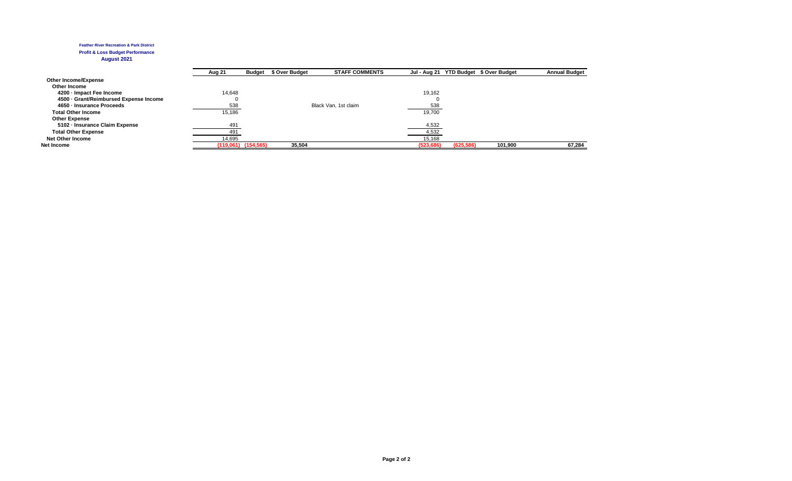#### **Feather River Recreation & Park District Profit & Loss Budget Performance**

#### **August 2021**

|                                      | Aug 21 | <b>Budget</b>           | \$ Over Budget | <b>STAFF COMMENTS</b> |            |            | Jul - Aug 21 YTD Budget \$ Over Budget | <b>Annual Budget</b> |
|--------------------------------------|--------|-------------------------|----------------|-----------------------|------------|------------|----------------------------------------|----------------------|
| <b>Other Income/Expense</b>          |        |                         |                |                       |            |            |                                        |                      |
| Other Income                         |        |                         |                |                       |            |            |                                        |                      |
| 4200 - Impact Fee Income             | 14.648 |                         |                |                       | 19,162     |            |                                        |                      |
| 4500 Grant/Reimbursed Expense Income |        |                         |                |                       |            |            |                                        |                      |
| 4650 - Insurance Proceeds            | 538    |                         |                | Black Van, 1st claim  | 538        |            |                                        |                      |
| <b>Total Other Income</b>            | 15.186 |                         |                |                       | 19.700     |            |                                        |                      |
| <b>Other Expense</b>                 |        |                         |                |                       |            |            |                                        |                      |
| 5102 Insurance Claim Expense         | 491    |                         |                |                       | 4,532      |            |                                        |                      |
| <b>Total Other Expense</b>           | 491    |                         |                |                       | 4,532      |            |                                        |                      |
| <b>Net Other Income</b>              | 14,695 |                         |                |                       | 15,168     |            |                                        |                      |
| Net Income                           |        | $(119,061)$ $(154,565)$ | 35,504         |                       | (523, 686) | (625, 586) | 101,900                                | 67.284               |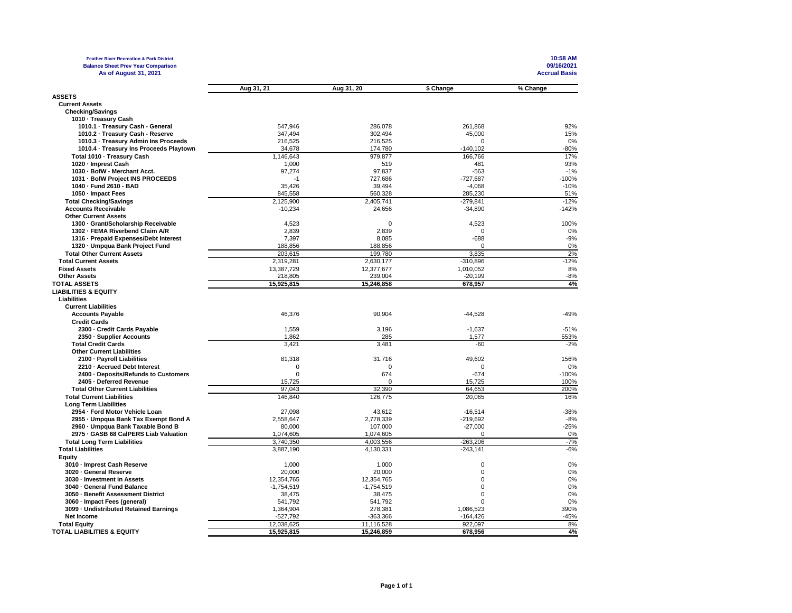| <b>Feather River Recreation &amp; Park District</b>          |                   |              |             | 10:58 AM             |
|--------------------------------------------------------------|-------------------|--------------|-------------|----------------------|
| <b>Balance Sheet Prev Year Comparison</b>                    |                   |              |             | 09/16/2021           |
| As of August 31, 2021                                        |                   |              |             | <b>Accrual Basis</b> |
|                                                              |                   |              |             |                      |
|                                                              | Aug 31, 21        | Aug 31, 20   | \$ Change   | % Change             |
| <b>ASSETS</b>                                                |                   |              |             |                      |
| <b>Current Assets</b>                                        |                   |              |             |                      |
| <b>Checking/Savings</b>                                      |                   |              |             |                      |
| 1010 - Treasury Cash                                         |                   |              |             |                      |
| 1010.1 · Treasury Cash - General                             | 547,946           | 286,078      | 261,868     | 92%                  |
| 1010.2 - Treasury Cash - Reserve                             | 347.494           | 302.494      | 45,000      | 15%                  |
| 1010.3 · Treasury Admin Ins Proceeds                         |                   | 216,525      | $\Omega$    | 0%                   |
| 1010.4 · Treasury Ins Proceeds Playtown                      | 216,525<br>34,678 | 174,780      | $-140, 102$ | $-80%$               |
|                                                              |                   |              |             | 17%                  |
| Total 1010 - Treasury Cash                                   | 1,146,643         | 979.877      | 166,766     | 93%                  |
| 1020 - Imprest Cash                                          | 1.000             | 519          | 481         |                      |
| 1030 - BofW - Merchant Acct.                                 | 97,274            | 97,837       | $-563$      | $-1%$                |
| 1031 - BofW Project INS PROCEEDS                             | $-1$              | 727,686      | $-727,687$  | $-100%$              |
| 1040 - Fund 2610 - BAD                                       | 35,426            | 39,494       | $-4,068$    | $-10%$               |
| 1050 - Impact Fees                                           | 845,558           | 560,328      | 285,230     | 51%                  |
| <b>Total Checking/Savings</b>                                | 2,125,900         | 2,405,741    | $-279.841$  | $-12%$               |
| <b>Accounts Receivable</b>                                   | $-10,234$         | 24,656       | $-34,890$   | $-142%$              |
| <b>Other Current Assets</b>                                  |                   |              |             |                      |
| 1300 - Grant/Scholarship Receivable                          | 4,523             | $\mathbf 0$  | 4,523       | 100%                 |
| 1302 - FEMA Riverbend Claim A/R                              | 2,839             | 2,839        | $\Omega$    | 0%                   |
| 1316 - Prepaid Expenses/Debt Interest                        | 7,397             | 8,085        | $-688$      | $-9%$                |
| 1320 - Umpqua Bank Project Fund                              | 188,856           | 188,856      | $\mathbf 0$ | 0%                   |
| <b>Total Other Current Assets</b>                            | 203,615           | 199,780      | 3,835       | 2%                   |
| <b>Total Current Assets</b>                                  | 2,319,281         | 2,630,177    | $-310,896$  | $-12%$               |
| <b>Fixed Assets</b>                                          | 13,387,729        | 12,377,677   | 1,010,052   | 8%                   |
| <b>Other Assets</b>                                          | 218,805           | 239,004      | $-20,199$   | $-8%$                |
| <b>TOTAL ASSETS</b>                                          | 15,925,815        | 15,246,858   | 678,957     | 4%                   |
| <b>LIABILITIES &amp; EQUITY</b>                              |                   |              |             |                      |
| Liabilities                                                  |                   |              |             |                      |
| <b>Current Liabilities</b>                                   |                   |              |             |                      |
| <b>Accounts Payable</b>                                      | 46,376            | 90,904       | $-44,528$   | $-49%$               |
| <b>Credit Cards</b>                                          |                   |              |             |                      |
| 2300 - Credit Cards Payable                                  | 1,559             | 3,196        | $-1,637$    | $-51%$               |
| 2350 · Supplier Accounts                                     | 1.862             | 285          | 1,577       | 553%                 |
| <b>Total Credit Cards</b>                                    | 3,421             | 3,481        | $-60$       | $-2%$                |
| <b>Other Current Liabilities</b>                             |                   |              |             |                      |
|                                                              |                   |              |             |                      |
| 2100 - Payroll Liabilities                                   | 81,318            | 31,716       | 49,602      | 156%                 |
| 2210 - Accrued Debt Interest                                 | $\mathbf 0$       | $\mathbf 0$  | $\mathbf 0$ | 0%                   |
| 2400 · Deposits/Refunds to Customers                         | $\Omega$          | 674          | $-674$      | $-100%$              |
| 2405 · Deferred Revenue                                      | 15,725            | $\mathbf 0$  | 15,725      | 100%                 |
| <b>Total Other Current Liabilities</b>                       | 97,043            | 32,390       | 64,653      | 200%                 |
| <b>Total Current Liabilities</b>                             | 146.840           | 126.775      | 20.065      | 16%                  |
| <b>Long Term Liabilities</b>                                 |                   |              |             |                      |
| 2954 - Ford Motor Vehicle Loan                               | 27,098            | 43,612       | $-16,514$   | $-38%$               |
| 2955 - Umpqua Bank Tax Exempt Bond A                         | 2,558,647         | 2,778,339    | $-219,692$  | $-8%$                |
| 2960 - Umpqua Bank Taxable Bond B                            | 80,000            | 107,000      | $-27,000$   | $-25%$               |
| 2975 - GASB 68 CalPERS Liab Valuation                        | 1,074,605         | 1,074,605    | $\Omega$    | 0%                   |
| <b>Total Long Term Liabilities</b>                           | 3,740,350         | 4,003,556    | -263,206    | $-7%$                |
| <b>Total Liabilities</b>                                     | 3,887,190         | 4,130,331    | $-243,141$  | $-6%$                |
| Equity                                                       |                   |              |             |                      |
| 3010 - Imprest Cash Reserve                                  | 1,000             | 1,000        | $\mathbf 0$ | 0%                   |
| 3020 - General Reserve                                       | 20,000            | 20,000       | $\mathbf 0$ | 0%                   |
| 3030 · Investment in Assets                                  | 12,354,765        | 12,354,765   | $\mathbf 0$ | 0%                   |
| 3040 · General Fund Balance                                  | $-1,754,519$      | $-1,754,519$ | $\mathbf 0$ | 0%                   |
| 3050 - Benefit Assessment District                           | 38,475            | 38,475       | 0           | 0%                   |
| 3060 - Impact Fees (general)                                 | 541,792           | 541,792      | $\Omega$    | 0%                   |
| 3099 - Undistributed Retained Earnings                       | 1,364,904         | 278,381      | 1,086,523   | 390%                 |
| Net Income                                                   | $-527,792$        | -363,366     | $-164,426$  | $-45%$               |
|                                                              |                   |              | 922,097     | 8%                   |
| <b>Total Equity</b><br><b>TOTAL LIABILITIES &amp; EQUITY</b> | 12,038,625        | 11,116,528   | 678,956     | 4%                   |
|                                                              | 15,925,815        | 15,246,859   |             |                      |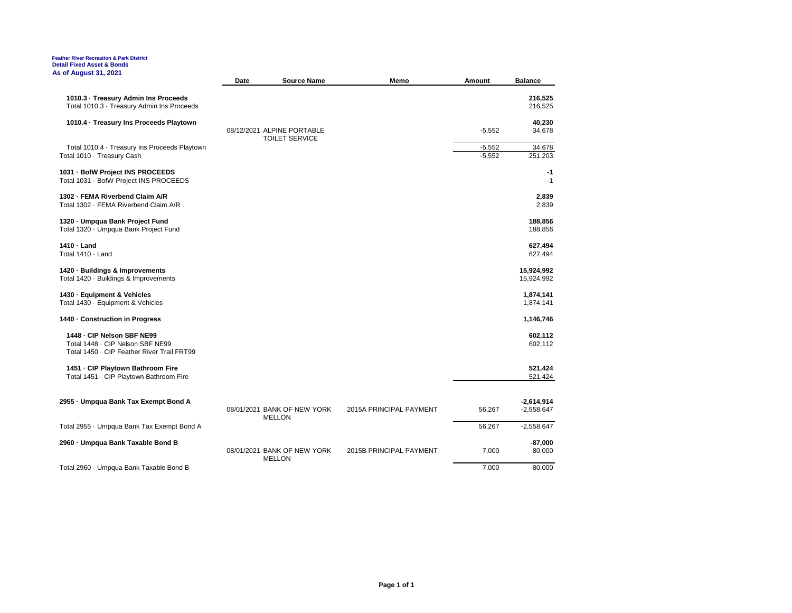#### **Feather River Recreation & Park District Detail Fixed Asset & Bonds As of August 31, 2021**

|                                                                                    | Date | <b>Source Name</b>                                  | Memo                    | Amount   | <b>Balance</b>               |
|------------------------------------------------------------------------------------|------|-----------------------------------------------------|-------------------------|----------|------------------------------|
| 1010.3 - Treasury Admin Ins Proceeds<br>Total 1010.3 · Treasury Admin Ins Proceeds |      |                                                     |                         |          | 216,525<br>216,525           |
| 1010.4 - Treasury Ins Proceeds Playtown                                            |      |                                                     |                         |          | 40,230                       |
|                                                                                    |      | 08/12/2021 ALPINE PORTABLE<br><b>TOILET SERVICE</b> |                         | $-5,552$ | 34,678                       |
| Total 1010.4 · Treasury Ins Proceeds Playtown                                      |      |                                                     |                         | $-5,552$ | 34,678                       |
| Total 1010 · Treasury Cash                                                         |      |                                                     |                         | $-5,552$ | 251,203                      |
| 1031 - BofW Project INS PROCEEDS<br>Total 1031 · BofW Project INS PROCEEDS         |      |                                                     |                         |          | $-1$<br>$-1$                 |
| 1302 FEMA Riverbend Claim A/R                                                      |      |                                                     |                         |          | 2,839                        |
| Total 1302 · FEMA Riverbend Claim A/R                                              |      |                                                     |                         |          | 2,839                        |
| 1320 - Umpqua Bank Project Fund                                                    |      |                                                     |                         |          | 188,856                      |
| Total 1320 · Umpqua Bank Project Fund                                              |      |                                                     |                         |          | 188,856                      |
| 1410 - Land                                                                        |      |                                                     |                         |          | 627,494                      |
| Total 1410 · Land                                                                  |      |                                                     |                         |          | 627,494                      |
| 1420 Buildings & Improvements                                                      |      |                                                     |                         |          | 15,924,992                   |
| Total 1420 · Buildings & Improvements                                              |      |                                                     |                         |          | 15,924,992                   |
| 1430 Equipment & Vehicles                                                          |      |                                                     |                         |          | 1,874,141                    |
| Total 1430 · Equipment & Vehicles                                                  |      |                                                     |                         |          | 1,874,141                    |
| 1440 Construction in Progress                                                      |      |                                                     |                         |          | 1,146,746                    |
| 1448 - CIP Nelson SBF NE99                                                         |      |                                                     |                         |          | 602,112                      |
| Total 1448 - CIP Nelson SBF NE99<br>Total 1450 · CIP Feather River Trail FRT99     |      |                                                     |                         |          | 602,112                      |
| 1451 - CIP Playtown Bathroom Fire                                                  |      |                                                     |                         |          | 521,424                      |
| Total 1451 · CIP Playtown Bathroom Fire                                            |      |                                                     |                         |          | 521,424                      |
|                                                                                    |      |                                                     |                         |          |                              |
| 2955 - Umpqua Bank Tax Exempt Bond A                                               |      | 08/01/2021 BANK OF NEW YORK                         | 2015A PRINCIPAL PAYMENT | 56,267   | $-2,614,914$<br>$-2,558,647$ |
|                                                                                    |      | <b>MELLON</b>                                       |                         |          |                              |
| Total 2955 · Umpqua Bank Tax Exempt Bond A                                         |      |                                                     |                         | 56,267   | $-2,558,647$                 |
| 2960 - Umpqua Bank Taxable Bond B                                                  |      |                                                     |                         |          | $-87,000$                    |
|                                                                                    |      | 08/01/2021 BANK OF NEW YORK<br><b>MELLON</b>        | 2015B PRINCIPAL PAYMENT | 7,000    | $-80,000$                    |
| Total 2960 · Umpqua Bank Taxable Bond B                                            |      |                                                     |                         | 7,000    | $-80,000$                    |